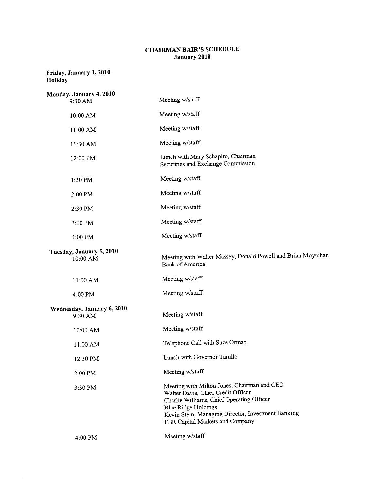## CHAIRMAN BAIR'S SCHEDULE January 2010

## Friday, January 1, 2010 Holiday

 $\mathcal{A}^{\mathcal{A}}$ 

| Monday, January 4, 2010<br>9:30 AM    | Meeting w/staff                                                                                                                                                                                                                                       |
|---------------------------------------|-------------------------------------------------------------------------------------------------------------------------------------------------------------------------------------------------------------------------------------------------------|
| 10:00 AM                              | Meeting w/staff                                                                                                                                                                                                                                       |
| 11:00 AM                              | Meeting w/staff                                                                                                                                                                                                                                       |
| 11:30 AM                              | Meeting w/staff                                                                                                                                                                                                                                       |
| 12:00 PM                              | Lunch with Mary Schapiro, Chairman<br>Securities and Exchange Commission                                                                                                                                                                              |
| 1:30 PM                               | Meeting w/staff                                                                                                                                                                                                                                       |
| 2:00 PM                               | Meeting w/staff                                                                                                                                                                                                                                       |
| 2:30 PM                               | Meeting w/staff                                                                                                                                                                                                                                       |
| 3:00 PM                               | Meeting w/staff                                                                                                                                                                                                                                       |
| 4:00 PM                               | Meeting w/staff                                                                                                                                                                                                                                       |
| Tuesday, January 5, 2010<br>10:00 AM  | Meeting with Walter Massey, Donald Powell and Brian Moynihan<br><b>Bank of America</b>                                                                                                                                                                |
| $11:00$ AM                            | Meeting w/staff                                                                                                                                                                                                                                       |
| 4:00 PM                               | Meeting w/staff                                                                                                                                                                                                                                       |
| Wednesday, January 6, 2010<br>9:30 AM | Meeting w/staff                                                                                                                                                                                                                                       |
| 10:00 AM                              | Meeting w/staff                                                                                                                                                                                                                                       |
| 11:00 AM                              | Telephone Call with Suze Orman                                                                                                                                                                                                                        |
| 12:30 PM                              | Lunch with Governor Tarullo                                                                                                                                                                                                                           |
| 2:00 PM                               | Meeting w/staff                                                                                                                                                                                                                                       |
| 3:30 PM                               | Meeting with Milton Jones, Chairman and CEO<br>Walter Davis, Chief Credit Officer<br>Charlie Williams, Chief Operating Officer<br><b>Blue Ridge Holdings</b><br>Kevin Stein, Managing Director, Investment Banking<br>FBR Capital Markets and Company |
| 4:00 PM                               | Meeting w/staff                                                                                                                                                                                                                                       |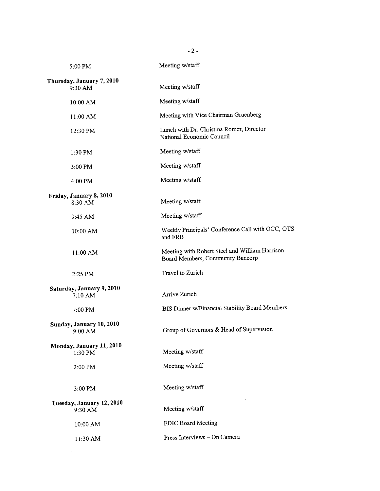| 5:00 PM                               | Meeting w/staff                                                                    |
|---------------------------------------|------------------------------------------------------------------------------------|
| Thursday, January 7, 2010<br>9:30 AM  | Meeting w/staff                                                                    |
| 10:00 AM                              | Meeting w/staff                                                                    |
| 11:00 AM                              | Meeting with Vice Chairman Gruenberg                                               |
| 12:30 PM                              | Lunch with Dr. Christina Romer, Director<br>National Economic Council              |
| $1:30$ PM                             | Meeting w/staff                                                                    |
| 3:00 PM                               | Meeting w/staff                                                                    |
| $4:00$ PM                             | Meeting w/staff                                                                    |
| Friday, January 8, 2010<br>8:30 AM    | Meeting w/staff                                                                    |
| 9:45 AM                               | Meeting w/staff                                                                    |
| 10:00 AM                              | Weekly Principals' Conference Call with OCC, OTS<br>and FRB                        |
| $11:00$ AM                            | Meeting with Robert Steel and William Harrison<br>Board Members, Community Bancorp |
| 2:25 PM                               | Travel to Zurich                                                                   |
| Saturday, January 9, 2010<br>7:10 AM  | Arrive Zurich                                                                      |
| $7:00$ PM                             | BIS Dinner w/Financial Stability Board Members                                     |
| Sunday, January 10, 2010<br>9:00 AM   | Group of Governors & Head of Supervision                                           |
| Monday, January 11, 2010<br>$1:30$ PM | Meeting w/staff                                                                    |
| 2:00 PM                               | Meeting w/staff                                                                    |
| $3:00$ PM                             | Meeting w/staff                                                                    |
| Tuesday, January 12, 2010<br>9:30 AM  | Meeting w/staff                                                                    |
| 10:00 AM                              | FDIC Board Meeting                                                                 |
| 11:30 AM                              | Press Interviews - On Camera                                                       |
|                                       |                                                                                    |

 $-2 -$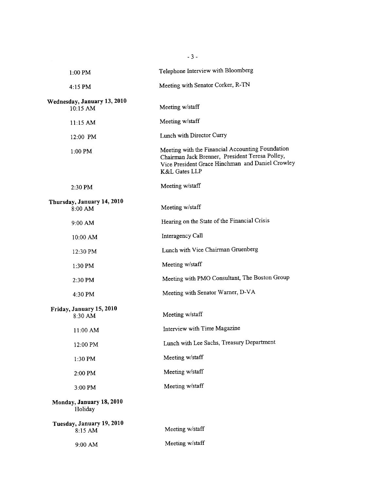|                                         | $-3-$                                                                                                                                                                    |
|-----------------------------------------|--------------------------------------------------------------------------------------------------------------------------------------------------------------------------|
| 1:00 PM                                 | Telephone Interview with Bloomberg                                                                                                                                       |
| 4:15 PM                                 | Meeting with Senator Corker, R-TN                                                                                                                                        |
| Wednesday, January 13, 2010<br>10:15 AM | Meeting w/staff                                                                                                                                                          |
| 11:15 AM                                | Meeting w/staff                                                                                                                                                          |
| 12:00 PM                                | Lunch with Director Curry                                                                                                                                                |
| 1:00 PM                                 | Meeting with the Financial Accounting Foundation<br>Chairman Jack Brenner, President Teresa Polley,<br>Vice President Grace Hinchman and Daniel Crowley<br>K&L Gates LLP |
| 2:30 PM                                 | Meeting w/staff                                                                                                                                                          |
| Thursday, January 14, 2010<br>$8:00$ AM | Meeting w/staff                                                                                                                                                          |
| 9:00 AM                                 | Hearing on the State of the Financial Crisis                                                                                                                             |
| 10:00 AM                                | Interagency Call                                                                                                                                                         |
| 12:30 PM                                | Lunch with Vice Chairman Gruenberg                                                                                                                                       |
| 1:30 PM                                 | Meeting w/staff                                                                                                                                                          |
| $2:30$ PM                               | Meeting with PMO Consultant, The Boston Group                                                                                                                            |
| 4:30 PM                                 | Meeting with Senator Warner, D-VA                                                                                                                                        |
| Friday, January 15, 2010<br>8:30 AM     | Meeting w/staff                                                                                                                                                          |
| 11:00 AM                                | Interview with Time Magazine                                                                                                                                             |
| 12:00 PM                                | Lunch with Lee Sachs, Treasury Department                                                                                                                                |
| 1:30 PM                                 | Meeting w/staff                                                                                                                                                          |
| 2:00 PM                                 | Meeting w/staff                                                                                                                                                          |
| 3:00 PM                                 | Meeting w/staff                                                                                                                                                          |
| Monday, January 18, 2010<br>Holiday     |                                                                                                                                                                          |
| Tuesday, January 19, 2010<br>$8:15$ AM  | Meeting w/staff                                                                                                                                                          |
| 9:00 AM                                 | Meeting w/staff                                                                                                                                                          |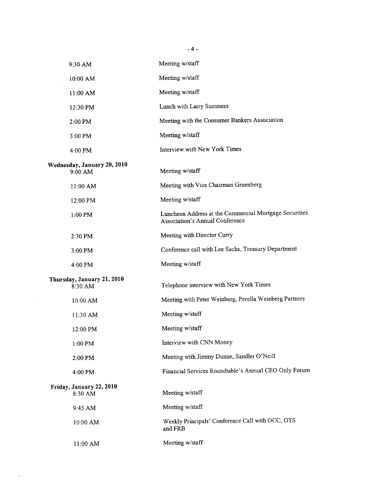|                                        | $-4-$                                                                                            |
|----------------------------------------|--------------------------------------------------------------------------------------------------|
| 9:30 AM                                | Meeting w/staff                                                                                  |
| 10:00 AM                               | Meeting w/staff                                                                                  |
| 11:00 AM                               | Meeting w/staff                                                                                  |
| 12:30 PM                               | Lunch with Larry Summers                                                                         |
| 2:00 PM                                | Meeting with the Consumer Bankers Association                                                    |
| $3:00$ PM                              | Meeting w/staff                                                                                  |
| 4:00 PM                                | Interview with New York Times                                                                    |
| Wednesday, January 20, 2010<br>9:00 AM | Meeting w/staff                                                                                  |
| 11:00 AM                               | Meeting with Vice Chairman Gruenberg                                                             |
| 12:00 PM                               | Meeting w/staff                                                                                  |
| $1:00$ PM                              | Luncheon Address at the Commercial Mortgage Securities<br><b>Association's Annual Conference</b> |
| 2:30 PM                                | Meeting with Director Curry                                                                      |
| 3:00 PM                                | Conference call with Lee Sachs, Treasury Department                                              |
| $4:00$ PM                              | Meeting w/staff                                                                                  |
| Thursday, January 21, 2010<br>8:30 AM  | Telephone interview with New York Times                                                          |
| 10:00 AM                               | Meeting with Peter Weinberg, Perella Weinberg Partners                                           |
| 11:30 AM                               | Meeting w/staff                                                                                  |
| 12:00 PM                               | Meeting w/staff                                                                                  |
| 1:00 PM                                | Interview with CNN Money                                                                         |
| 2:00 PM                                | Meeting with Jimmy Dunne, Sandler O'Neill                                                        |
| 4:00 PM                                | Financial Services Roundtable's Annual CEO Only Forum                                            |
| Friday, January 22, 2010<br>8:30 AM    | Meeting w/staff                                                                                  |
| 9:45 AM                                | Meeting w/staff                                                                                  |
| 10:00 AM                               | Weekly Principals' Conference Call with OCC, OTS<br>and FRB                                      |
| 11:00 AM                               | Meeting w/staff                                                                                  |

 $\mathcal{A}^{\text{max}}_{\text{max}}$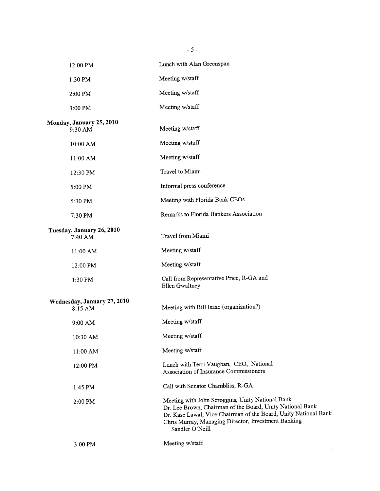|                                        | $-5 -$                                                                                                                                                                                                                                                     |
|----------------------------------------|------------------------------------------------------------------------------------------------------------------------------------------------------------------------------------------------------------------------------------------------------------|
| 12:00 PM                               | Lunch with Alan Greenspan                                                                                                                                                                                                                                  |
| 1:30 PM                                | Meeting w/staff                                                                                                                                                                                                                                            |
| 2:00 PM                                | Meeting w/staff                                                                                                                                                                                                                                            |
| 3:00 PM                                | Meeting w/staff                                                                                                                                                                                                                                            |
| Monday, January 25, 2010<br>9:30 AM    | Meeting w/staff                                                                                                                                                                                                                                            |
| 10:00 AM                               | Meeting w/staff                                                                                                                                                                                                                                            |
| 11:00 AM                               | Meeting w/staff                                                                                                                                                                                                                                            |
| 12:30 PM                               | Travel to Miami                                                                                                                                                                                                                                            |
| 5:00 PM                                | Informal press conference                                                                                                                                                                                                                                  |
| 5:30 PM                                | Meeting with Florida Bank CEOs                                                                                                                                                                                                                             |
| 7:30 PM                                | Remarks to Florida Bankers Association                                                                                                                                                                                                                     |
| Tuesday, January 26, 2010<br>7:40 AM   | Travel from Miami                                                                                                                                                                                                                                          |
| 11:00 AM                               | Meeting w/staff                                                                                                                                                                                                                                            |
| 12:00 PM                               | Meeting w/staff                                                                                                                                                                                                                                            |
| 1:30 PM                                | Call from Representative Price, R-GA and<br>Ellen Gwaltney                                                                                                                                                                                                 |
| Wednesday, January 27, 2010<br>8:15 AM | Meeting with Bill Isaac (organization?)                                                                                                                                                                                                                    |
| 9:00 AM                                | Meeting w/staff                                                                                                                                                                                                                                            |
| 10:30 AM                               | Meeting w/staff                                                                                                                                                                                                                                            |
| 11:00 AM                               | Meeting w/staff                                                                                                                                                                                                                                            |
| 12:00 PM                               | Lunch with Terri Vaughan, CEO, National<br>Association of Insurance Commissioners                                                                                                                                                                          |
| 1:45 PM                                | Call with Senator Chambliss, R-GA                                                                                                                                                                                                                          |
| 2:00 PM                                | Meeting with John Scroggins, Unity National Bank<br>Dr. Lee Brown, Chairman of the Board, Unity National Bank<br>Dr. Kase Lawal, Vice Chairman of the Board, Unity National Bank<br>Chris Murray, Managing Director, Investment Banking<br>Sandler O'Neill |
| 3:00 PM                                | Meeting w/staff                                                                                                                                                                                                                                            |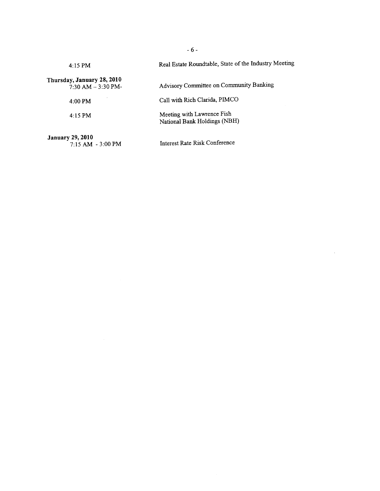| $4:15$ PM                                           | Real Estate Roundtable, State of the Industry Meeting      |
|-----------------------------------------------------|------------------------------------------------------------|
| Thursday, January 28, 2010<br>$7:30$ AM $-3:30$ PM- | Advisory Committee on Community Banking                    |
| $4:00$ PM                                           | Call with Rich Clarida, PIMCO                              |
| $4:15$ PM                                           | Meeting with Lawrence Fish<br>National Bank Holdings (NBH) |
| <b>January 29, 2010</b><br>7:15 AM - 3:00 PM        | Interest Rate Risk Conference                              |

- 6 -

J.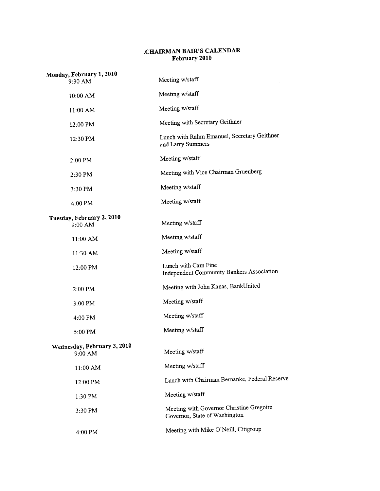## .CHAIRMAN BAIR'S CALENDAR February 2010

| Monday, February 1, 2010<br>9:30 AM    | Meeting w/staff                                                           |
|----------------------------------------|---------------------------------------------------------------------------|
| 10:00 AM                               | Meeting w/staff                                                           |
| 11:00 AM                               | Meeting w/staff                                                           |
| 12:00 PM                               | Meeting with Secretary Geithner                                           |
| 12:30 PM                               | Lunch with Rahm Emanuel, Secretary Geithner<br>and Larry Summers          |
| 2:00 PM                                | Meeting w/staff                                                           |
| 2:30 PM                                | Meeting with Vice Chairman Gruenberg                                      |
| 3:30 PM                                | Meeting w/staff                                                           |
| 4:00 PM                                | Meeting w/staff                                                           |
| Tuesday, February 2, 2010<br>9:00 AM   | Meeting w/staff                                                           |
| 11:00 AM                               | Meeting w/staff                                                           |
| 11:30 AM                               | Meeting w/staff                                                           |
| 12:00 PM                               | Lunch with Cam Fine<br>Independent Community Bankers Association          |
| 2:00 PM                                | Meeting with John Kanas, BankUnited                                       |
| 3:00 PM                                | Meeting w/staff                                                           |
| 4:00 PM                                | Meeting w/staff                                                           |
| 5:00 PM                                | Meeting w/staff                                                           |
| Wednesday, February 3, 2010<br>9:00 AM | Meeting w/staff                                                           |
| 11:00 AM                               | Meeting w/staff                                                           |
| 12:00 PM                               | Lunch with Chairman Bernanke, Federal Reserve                             |
| $1:30$ PM                              | Meeting w/staff                                                           |
| 3:30 PM                                | Meeting with Governor Christine Gregoire<br>Governor, State of Washington |
| 4:00 PM                                | Meeting with Mike O'Neill, Citigroup                                      |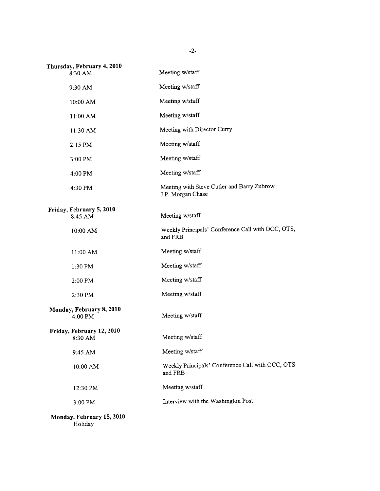| Thursday, February 4, 2010<br>8:30 AM | Meeting w/staff                                                 |
|---------------------------------------|-----------------------------------------------------------------|
| 9:30 AM                               | Meeting w/staff                                                 |
| 10:00 AM                              | Meeting w/staff                                                 |
| 11:00 AM                              | Meeting w/staff                                                 |
| 11:30 AM                              | Meeting with Director Curry                                     |
| 2:15 PM                               | Meeting w/staff                                                 |
| 3:00 PM                               | Meeting w/staff                                                 |
| 4:00 PM                               | Meeting w/staff                                                 |
| 4:30 PM                               | Meeting with Steve Cutler and Barry Zubrow<br>J.P. Morgan Chase |
| Friday, February 5, 2010<br>8:45 AM   | Meeting w/staff                                                 |
| 10:00 AM                              | Weekly Principals' Conference Call with OCC, OTS,<br>and FRB    |
| 11:00 AM                              | Meeting w/staff                                                 |
| 1:30 PM                               | Meeting w/staff                                                 |
| 2:00 PM                               | Meeting w/staff                                                 |
| 2:30 PM                               | Meeting w/staff                                                 |
| Monday, February 8, 2010<br>4:00 PM   | Meeting w/staff                                                 |
| Friday, February 12, 2010<br>8:30 AM  | Meeting w/staff                                                 |
| 9:45 AM                               | Meeting w/staff                                                 |
| 10:00 AM                              | Weekly Principals' Conference Call with OCC, OTS<br>and FRB     |
| 12:30 PM                              | Meeting w/staff                                                 |
| 3:00 PM                               | Interview with the Washington Post                              |
| Monday, February 15, 2010<br>Holiday  |                                                                 |

-2-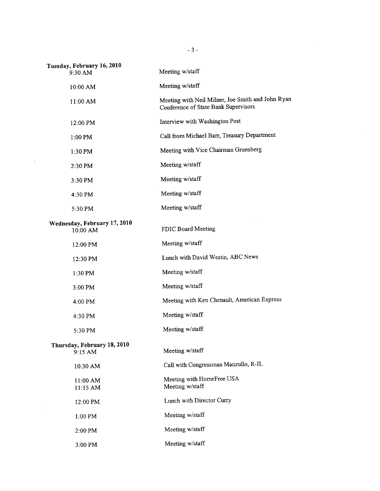| Tuesday, February 16, 2010<br>9:30 AM    | Meeting w/staff                                                                           |
|------------------------------------------|-------------------------------------------------------------------------------------------|
| 10:00 AM                                 | Meeting w/staff                                                                           |
| 11:00 AM                                 | Meeting with Neil Milner, Joe Smith and John Ryan<br>Conference of State Bank Supervisors |
| 12:00 PM                                 | Interview with Washington Post                                                            |
| 1:00 PM                                  | Call from Michael Barr, Treasury Department                                               |
| $1:30$ PM                                | Meeting with Vice Chairman Gruenberg                                                      |
| 2:30 PM                                  | Meeting w/staff                                                                           |
| 3:30 PM                                  | Meeting w/staff                                                                           |
| 4:30 PM                                  | Meeting w/staff                                                                           |
| 5:30 PM                                  | Meeting w/staff                                                                           |
| Wednesday, February 17, 2010<br>10:00 AM | FDIC Board Meeting                                                                        |
| 12:00 PM                                 | Meeting w/staff                                                                           |
| 12:30 PM                                 | Lunch with David Westin, ABC News                                                         |
| 1:30 PM                                  | Meeting w/staff                                                                           |
| 3:00 PM                                  | Meeting w/staff                                                                           |
| 4:00 PM                                  | Meeting with Ken Chenault, American Express                                               |
| 4:30 PM                                  | Meeting w/staff                                                                           |
| 5:30 PM                                  | Meeting w/staff                                                                           |
| Thursday, February 18, 2010<br>9:15 AM   | Meeting w/staff                                                                           |
| 10:30 AM                                 | Call with Congressman Manzullo, R-IL                                                      |
| 11:00 AM<br>11:15 AM                     | Meeting with HomeFree USA<br>Meeting w/staff                                              |
| 12:00 PM                                 | Lunch with Director Curry                                                                 |
| 1:00 PM                                  | Meeting w/staff                                                                           |
| 2:00 PM                                  | Meeting w/staff                                                                           |
| 3:00 PM                                  | Meeting w/staff                                                                           |

 $\mathcal{L}_{\mathcal{A}}$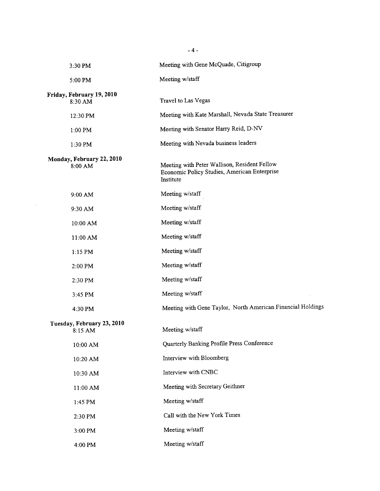| 3:30 PM                               | Meeting with Gene McQuade, Citigroup                                                                      |
|---------------------------------------|-----------------------------------------------------------------------------------------------------------|
| 5:00 PM                               | Meeting w/staff                                                                                           |
| Friday, February 19, 2010<br>8:30 AM  | Travel to Las Vegas                                                                                       |
| 12:30 PM                              | Meeting with Kate Marshall, Nevada State Treasurer                                                        |
| 1:00 PM                               | Meeting with Senator Harry Reid, D-NV                                                                     |
| 1:30 PM                               | Meeting with Nevada business leaders                                                                      |
| Monday, February 22, 2010<br>8:00 AM  | Meeting with Peter Wallison, Resident Fellow<br>Economic Policy Studies, American Enterprise<br>Institute |
| 9:00 AM                               | Meeting w/staff                                                                                           |
| 9:30 AM                               | Meeting w/staff                                                                                           |
| 10:00 AM                              | Meeting w/staff                                                                                           |
| 11:00 AM                              | Meeting w/staff                                                                                           |
| $1:15$ PM                             | Meeting w/staff                                                                                           |
| 2:00 PM                               | Meeting w/staff                                                                                           |
| 2:30 PM                               | Meeting w/staff                                                                                           |
| 3:45 PM                               | Meeting w/staff                                                                                           |
| 4:30 PM                               | Meeting with Gene Taylor, North American Financial Holdings                                               |
| Tuesday, February 23, 2010<br>8:15 AM | Meeting w/staff                                                                                           |
| 10:00 AM                              | Quarterly Banking Profile Press Conference                                                                |
| 10:20 AM                              | Interview with Bloomberg                                                                                  |
| 10:30 AM                              | Interview with CNBC                                                                                       |
| 11:00 AM                              | Meeting with Secretary Geithner                                                                           |
| 1:45 PM                               | Meeting w/staff                                                                                           |
| 2:30 PM                               | Call with the New York Times                                                                              |
| 3:00 PM                               | Meeting w/staff                                                                                           |
| 4:00 PM                               | Meeting w/staff                                                                                           |

 $- 4 -$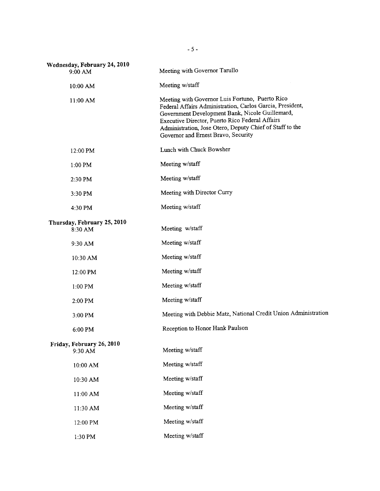| Wednesday, February 24, 2010<br>$9:00$ AM | Meeting with Governor Tarullo                                                                                                                                                                                                                                                                                         |
|-------------------------------------------|-----------------------------------------------------------------------------------------------------------------------------------------------------------------------------------------------------------------------------------------------------------------------------------------------------------------------|
| 10:00 AM                                  | Meeting w/staff                                                                                                                                                                                                                                                                                                       |
| 11:00 AM                                  | Meeting with Governor Luis Fortuno, Puerto Rico<br>Federal Affairs Administration, Carlos Garcia, President,<br>Government Development Bank, Nicole Guillemard,<br>Executive Director, Puerto Rico Federal Affairs<br>Administration, Jose Otero, Deputy Chief of Staff to the<br>Governor and Ernest Bravo, Security |
| 12:00 PM                                  | Lunch with Chuck Bowsher                                                                                                                                                                                                                                                                                              |
| $1:00$ PM                                 | Meeting w/staff                                                                                                                                                                                                                                                                                                       |
| 2:30 PM                                   | Meeting w/staff                                                                                                                                                                                                                                                                                                       |
| 3:30 PM                                   | Meeting with Director Curry                                                                                                                                                                                                                                                                                           |
| 4:30 PM                                   | Meeting w/staff                                                                                                                                                                                                                                                                                                       |
| Thursday, February 25, 2010<br>8:30 AM    | Meeting w/staff                                                                                                                                                                                                                                                                                                       |
| 9:30 AM                                   | Meeting w/staff                                                                                                                                                                                                                                                                                                       |
| 10:30 AM                                  | Meeting w/staff                                                                                                                                                                                                                                                                                                       |
| 12:00 PM                                  | Meeting w/staff                                                                                                                                                                                                                                                                                                       |
| $1:00$ PM                                 | Meeting w/staff                                                                                                                                                                                                                                                                                                       |
| 2:00 PM                                   | Meeting w/staff                                                                                                                                                                                                                                                                                                       |
| 3:00 PM                                   | Meeting with Debbie Matz, National Credit Union Administration                                                                                                                                                                                                                                                        |
| 6:00 PM                                   | Reception to Honor Hank Paulson                                                                                                                                                                                                                                                                                       |
| Friday, February 26, 2010<br>9:30 AM      | Meeting w/staff                                                                                                                                                                                                                                                                                                       |
| 10:00 AM                                  | Meeting w/staff                                                                                                                                                                                                                                                                                                       |
| 10:30 AM                                  | Meeting w/staff                                                                                                                                                                                                                                                                                                       |
| 11:00 AM                                  | Meeting w/staff                                                                                                                                                                                                                                                                                                       |
| 11:30 AM                                  | Meeting w/staff                                                                                                                                                                                                                                                                                                       |
| 12:00 PM                                  | Meeting w/staff                                                                                                                                                                                                                                                                                                       |
| 1:30 PM                                   | Meeting w/staff                                                                                                                                                                                                                                                                                                       |

- 5 -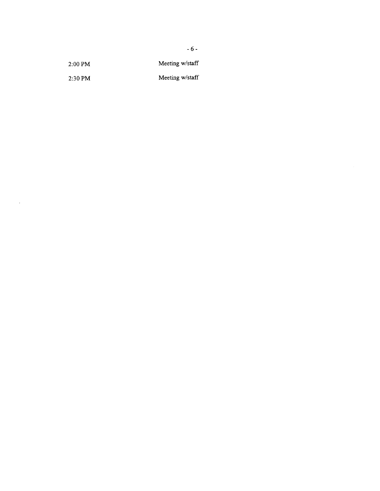| $2:00$ PM | Meeting w/staff |
|-----------|-----------------|
|           |                 |

2:30PM Meeting w/staff

 $\sim$ 

- 6 -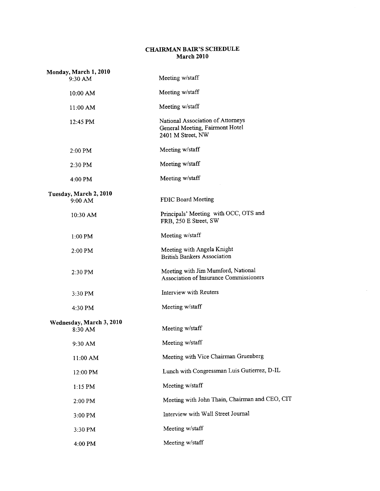## CHAIRMAN BAIR'S SCHEDULE March 2010

| Monday, March 1, 2010<br>$9:30$ AM  | Meeting w/staff                                                                           |
|-------------------------------------|-------------------------------------------------------------------------------------------|
| 10:00 AM                            | Meeting w/staff                                                                           |
| $11:00$ AM                          | Meeting w/staff                                                                           |
| 12:45 PM                            | National Association of Attorneys<br>General Meeting, Fairmont Hotel<br>2401 M Street, NW |
| $2:00$ PM                           | Meeting w/staff                                                                           |
| 2:30 PM                             | Meeting w/staff                                                                           |
| $4:00$ PM                           | Meeting w/staff                                                                           |
| Tuesday, March 2, 2010<br>9:00 AM   | FDIC Board Meeting                                                                        |
| 10:30 AM                            | Principals' Meeting with OCC, OTS and<br>FRB, 250 E Street, SW                            |
| 1:00 PM                             | Meeting w/staff                                                                           |
| 2:00 PM                             | Meeting with Angela Knight<br><b>British Bankers Association</b>                          |
| 2:30 PM                             | Meeting with Jim Mumford, National<br>Association of Insurance Commissioners              |
| 3:30 PM                             | <b>Interview with Reuters</b>                                                             |
| 4:30 PM                             | Meeting w/staff                                                                           |
| Wednesday, March 3, 2010<br>8:30 AM | Meeting w/staff                                                                           |
| 9:30 AM                             | Meeting w/staff                                                                           |
| 11:00 AM                            | Meeting with Vice Chairman Gruenberg                                                      |
| 12:00 PM                            | Lunch with Congressman Luis Gutierrez, D-IL                                               |
| $1:15$ PM                           | Meeting w/staff                                                                           |
| 2:00 PM                             | Meeting with John Thain, Chairman and CEO, CIT                                            |
| 3:00 PM                             | Interview with Wall Street Journal                                                        |
| 3:30 PM                             | Meeting w/staff                                                                           |
| 4:00 PM                             | Meeting w/staff                                                                           |

l.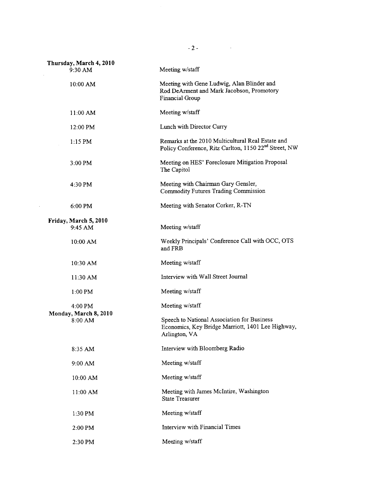| Thursday, March 4, 2010<br>9:30 AM | Meeting w/staff                                                                                                        |
|------------------------------------|------------------------------------------------------------------------------------------------------------------------|
| 10:00 AM                           | Meeting with Gene Ludwig, Alan Blinder and<br>Rod DeArment and Mark Jacobson, Promotory<br>Financial Group             |
| 11:00 AM                           | Meeting w/staff                                                                                                        |
| 12:00 PM                           | Lunch with Director Curry                                                                                              |
| $1:15$ PM                          | Remarks at the 2010 Multicultural Real Estate and<br>Policy Conference, Ritz Carlton, 1150 22 <sup>nd</sup> Street, NW |
| 3:00 PM                            | Meeting on HES' Foreclosure Mitigation Proposal<br>The Capitol                                                         |
| 4:30 PM                            | Meeting with Chairman Gary Gensler,<br>Commodity Futures Trading Commission                                            |
| $6:00$ PM                          | Meeting with Senator Corker, R-TN                                                                                      |
| Friday, March 5, 2010<br>9:45 AM   | Meeting w/staff                                                                                                        |
| 10:00 AM                           | Weekly Principals' Conference Call with OCC, OTS<br>and FRB                                                            |
| $10:30$ AM                         | Meeting w/staff                                                                                                        |
| 11:30 AM                           | Interview with Wall Street Journal                                                                                     |
| $1:00$ PM                          | Meeting w/staff                                                                                                        |
| $4:00$ PM                          | Meeting w/staff                                                                                                        |
| Monday, March 8, 2010<br>8:00 AM   | Speech to National Association for Business<br>Economics, Key Bridge Marriott, 1401 Lee Highway,<br>Arlington, VA      |
| 8:35 AM                            | Interview with Bloomberg Radio                                                                                         |
| 9:00 AM                            | Meeting w/staff                                                                                                        |
| 10:00 AM                           | Meeting w/staff                                                                                                        |
| 11:00 AM                           | Meeting with James McIntire, Washington<br><b>State Treasurer</b>                                                      |
| 1:30 PM                            | Meeting w/staff                                                                                                        |
| 2:00 PM                            | Interview with Financial Times                                                                                         |
| 2:30 PM                            | Meeting w/staff                                                                                                        |

 $-2$  -  $\overline{\phantom{a}}$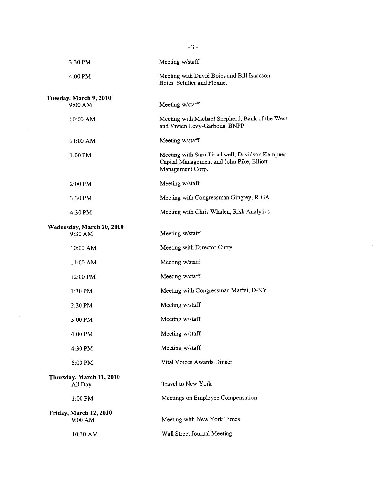|                                     | $-3-$                                                                                                           |
|-------------------------------------|-----------------------------------------------------------------------------------------------------------------|
| 3:30 PM                             | Meeting w/staff                                                                                                 |
| 4:00 PM                             | Meeting with David Boies and Bill Isaacson<br>Boies, Schiller and Flexner                                       |
| Tuesday, March 9, 2010              |                                                                                                                 |
| 9:00 AM                             | Meeting w/staff                                                                                                 |
| 10:00 AM                            | Meeting with Michael Shepherd, Bank of the West<br>and Vivien Levy-Garboua, BNPP                                |
| 11:00 AM                            | Meeting w/staff                                                                                                 |
| 1:00 PM                             | Meeting with Sara Tirschwell, Davidson Kempner<br>Capital Management and John Pike, Elliott<br>Management Corp. |
| 2:00 PM                             | Meeting w/staff                                                                                                 |
| 3:30 PM                             | Meeting with Congressman Gingrey, R-GA                                                                          |
| 4:30 PM                             | Meeting with Chris Whalen, Risk Analytics                                                                       |
| Wednesday, March 10, 2010           |                                                                                                                 |
| 9:30 AM                             | Meeting w/staff                                                                                                 |
| 10:00 AM                            | Meeting with Director Curry                                                                                     |
| 11:00 AM                            | Meeting w/staff                                                                                                 |
| 12:00 PM                            | Meeting w/staff                                                                                                 |
| 1:30 PM                             | Meeting with Congressman Maffei, D-NY                                                                           |
| 2:30 PM                             | Meeting w/staff                                                                                                 |
| 3:00 PM                             | Meeting w/staff                                                                                                 |
| 4:00 PM                             | Meeting w/staff                                                                                                 |
| 4:30 PM                             | Meeting w/staff                                                                                                 |
| 6:00 PM                             | Vital Voices Awards Dinner                                                                                      |
| Thursday, March 11, 2010<br>All Day | Travel to New York                                                                                              |
| 1:00 PM                             | Meetings on Employee Compensation                                                                               |
| Friday, March 12, 2010              |                                                                                                                 |
| 9:00 AM                             | Meeting with New York Times                                                                                     |
| 10:30 AM                            | Wall Street Journal Meeting                                                                                     |

 $\mathcal{L}_{\text{max}}$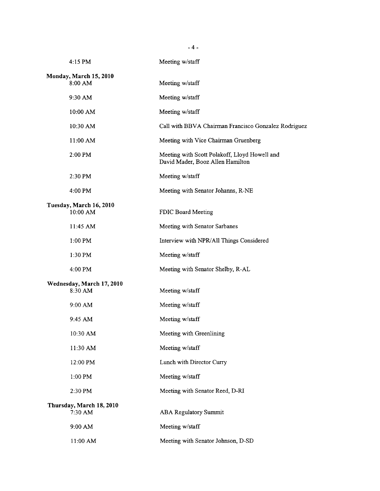|                                     | $-4-$                                                                             |
|-------------------------------------|-----------------------------------------------------------------------------------|
| 4:15 PM                             | Meeting w/staff                                                                   |
| Monday, March 15, 2010              |                                                                                   |
| 8:00 AM                             | Meeting w/staff                                                                   |
| 9:30 AM                             | Meeting w/staff                                                                   |
| 10:00 AM                            | Meeting w/staff                                                                   |
| 10:30 AM                            | Call with BBVA Chairman Francisco Gonzalez Rodriguez                              |
| 11:00 AM                            | Meeting with Vice Chairman Gruenberg                                              |
| 2:00 PM                             | Meeting with Scott Polakoff, Lloyd Howell and<br>David Mader, Booz Allen Hamilton |
| $2:30$ PM                           | Meeting w/staff                                                                   |
| 4:00 PM                             | Meeting with Senator Johanns, R-NE                                                |
| Tuesday, March 16, 2010<br>10:00 AM | FDIC Board Meeting                                                                |
| 11:45 AM                            | Meeting with Senator Sarbanes                                                     |
| 1:00 PM                             | Interview with NPR/All Things Considered                                          |
| $1:30$ PM                           | Meeting w/staff                                                                   |
| 4:00 PM                             | Meeting with Senator Shelby, R-AL                                                 |
| Wednesday, March 17, 2010           |                                                                                   |
| 8:30 AM                             | Meeting w/staff                                                                   |
| 9:00 AM                             | Meeting w/staff                                                                   |
| 9:45 AM                             | Meeting w/staff                                                                   |
| 10:30 AM                            | Meeting with Greenlining                                                          |
| 11:30 AM                            | Meeting w/staff                                                                   |
| 12:00 PM                            | Lunch with Director Curry                                                         |
| 1:00 PM                             | Meeting w/staff                                                                   |
| 2:30 PM                             | Meeting with Senator Reed, D-RI                                                   |
| Thursday, March 18, 2010<br>7:30 AM | <b>ABA Regulatory Summit</b>                                                      |
| 9:00 AM                             | Meeting w/staff                                                                   |
| 11:00 AM                            | Meeting with Senator Johnson, D-SD                                                |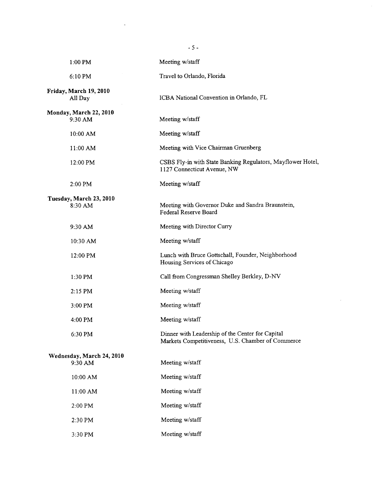|                                      | $-5-$                                                                                                 |
|--------------------------------------|-------------------------------------------------------------------------------------------------------|
| $1:00$ PM                            | Meeting w/staff                                                                                       |
| 6:10 PM                              | Travel to Orlando, Florida                                                                            |
| Friday, March 19, 2010<br>All Day    | ICBA National Convention in Orlando, FL                                                               |
| Monday, March 22, 2010<br>9:30 AM    | Meeting w/staff                                                                                       |
| 10:00 AM                             | Meeting w/staff                                                                                       |
| 11:00 AM                             | Meeting with Vice Chairman Gruenberg                                                                  |
| 12:00 PM                             | CSBS Fly-in with State Banking Regulators, Mayflower Hotel,<br>1127 Connecticut Avenue, NW            |
| $2:00$ PM                            | Meeting w/staff                                                                                       |
| Tuesday, March 23, 2010<br>8:30 AM   | Meeting with Governor Duke and Sandra Braunstein,<br>Federal Reserve Board                            |
| 9:30 AM                              | Meeting with Director Curry                                                                           |
| 10:30 AM                             | Meeting w/staff                                                                                       |
| 12:00 PM                             | Lunch with Bruce Gottschall, Founder, Neighborhood<br>Housing Services of Chicago                     |
| 1:30 PM                              | Call from Congressman Shelley Berkley, D-NV                                                           |
| $2:15$ PM                            | Meeting w/staff                                                                                       |
| $3:00$ PM                            | Meeting w/staff                                                                                       |
| 4:00 PM                              | Meeting w/staff                                                                                       |
| 6:30 PM                              | Dinner with Leadership of the Center for Capital<br>Markets Competitiveness, U.S. Chamber of Commerce |
| Wednesday, March 24, 2010<br>9:30 AM | Meeting w/staff                                                                                       |
| 10:00 AM                             | Meeting w/staff                                                                                       |
| 11:00 AM                             | Meeting w/staff                                                                                       |
| 2:00 PM                              | Meeting w/staff                                                                                       |
| 2:30 PM                              | Meeting w/staff                                                                                       |
| 3:30 PM                              | Meeting w/staff                                                                                       |

 $\mathcal{L}(\mathcal{A})$  .

 $\frac{1}{2}$ 

 $\sim 10$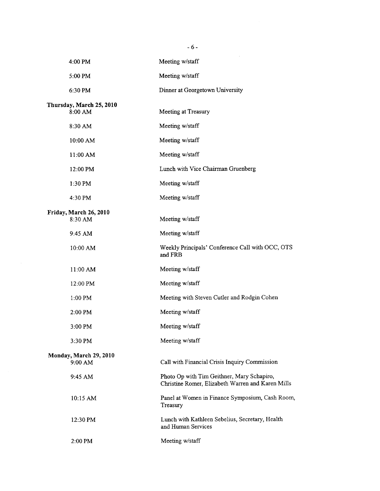|                                     | $-6-$                                                                                           |
|-------------------------------------|-------------------------------------------------------------------------------------------------|
| 4:00 PM                             | Meeting w/staff                                                                                 |
| 5:00 PM                             | Meeting w/staff                                                                                 |
| 6:30 PM                             | Dinner at Georgetown University                                                                 |
| Thursday, March 25, 2010<br>8:00 AM | Meeting at Treasury                                                                             |
| 8:30 AM                             | Meeting w/staff                                                                                 |
| 10:00 AM                            | Meeting w/staff                                                                                 |
| 11:00 AM                            | Meeting w/staff                                                                                 |
| 12:00 PM                            | Lunch with Vice Chairman Gruenberg                                                              |
| 1:30 PM                             | Meeting w/staff                                                                                 |
| 4:30 PM                             | Meeting w/staff                                                                                 |
| Friday, March 26, 2010<br>8:30 AM   | Meeting w/staff                                                                                 |
| 9:45 AM                             | Meeting w/staff                                                                                 |
| 10:00 AM                            | Weekly Principals' Conference Call with OCC, OTS<br>and FRB                                     |
| $11:00$ AM                          | Meeting w/staff                                                                                 |
| 12:00 PM                            | Meeting w/staff                                                                                 |
| $1:00$ PM                           | Meeting with Steven Cutler and Rodgin Cohen                                                     |
| 2:00 PM                             | Meeting w/staff                                                                                 |
| 3:00 PM                             | Meeting w/staff                                                                                 |
| 3:30 PM                             | Meeting w/staff                                                                                 |
| Monday, March 29, 2010<br>9:00 AM   | Call with Financial Crisis Inquiry Commission                                                   |
| 9:45 AM                             | Photo Op with Tim Geithner, Mary Schapiro,<br>Christine Romer, Elizabeth Warren and Karen Mills |
| 10:15 AM                            | Panel at Women in Finance Symposium, Cash Room,<br>Treasury                                     |
| 12:30 PM                            | Lunch with Kathleen Sebelius, Secretary, Health<br>and Human Services                           |
| $2:00$ PM                           | Meeting w/staff                                                                                 |